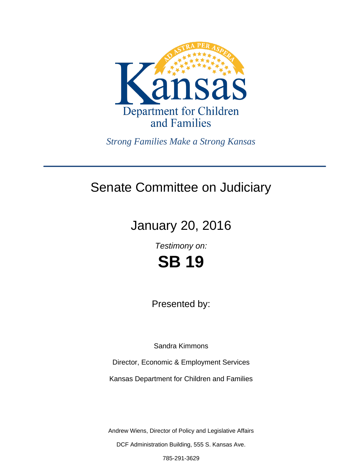

*Strong Families Make a Strong Kansas*

# Senate Committee on Judiciary

# January 20, 2016

*Testimony on:*

**SB 19**

Presented by:

Sandra Kimmons

Director, Economic & Employment Services

Kansas Department for Children and Families

Andrew Wiens, Director of Policy and Legislative Affairs

DCF Administration Building, 555 S. Kansas Ave.

785-291-3629